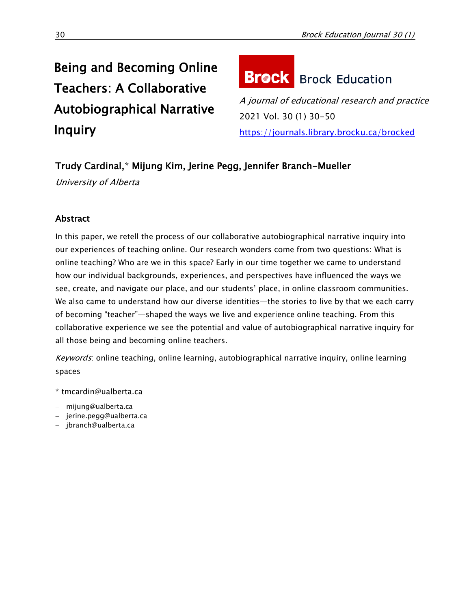## Being and Becoming Online Teachers: A Collaborative Autobiographical Narrative **Inquiry**

# **Brock** Brock Education

A journal of educational research and practice 2021 Vol. 30 (1) 30-50 <https://journals.library.brocku.ca/brocked>

## Trudy Cardinal,\* Mijung Kim, Jerine Pegg, Jennifer Branch-Mueller

University of Alberta

### **Abstract**

In this paper, we retell the process of our collaborative autobiographical narrative inquiry into our experiences of teaching online. Our research wonders come from two questions: What is online teaching? Who are we in this space? Early in our time together we came to understand how our individual backgrounds, experiences, and perspectives have influenced the ways we see, create, and navigate our place, and our students' place, in online classroom communities. We also came to understand how our diverse identities—the stories to live by that we each carry of becoming "teacher"—shaped the ways we live and experience online teaching. From this collaborative experience we see the potential and value of autobiographical narrative inquiry for all those being and becoming online teachers.

Keywords: online teaching, online learning, autobiographical narrative inquiry, online learning spaces

\* [tmcardin@ualberta.ca](mailto:tmcardin@ualberta.ca)

- [mijung@ualberta.ca](mailto:mijung@ualberta.ca)
- [jerine.pegg@ualberta.ca](mailto:jerine.pegg@ualberta.ca)
- [jbranch@ualberta.ca](mailto:jbranch@ualberta.ca)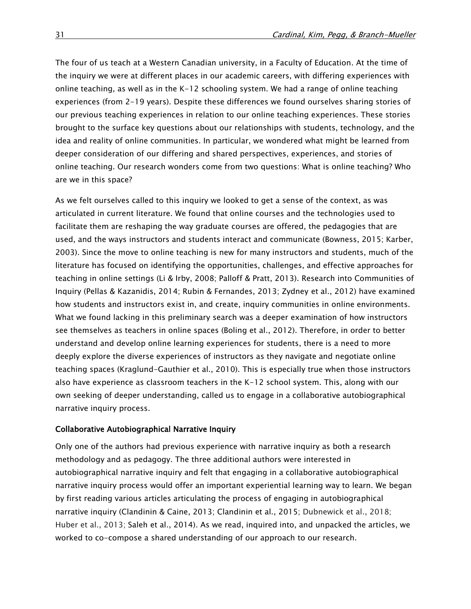The four of us teach at a Western Canadian university, in a Faculty of Education. At the time of the inquiry we were at different places in our academic careers, with differing experiences with online teaching, as well as in the K-12 schooling system. We had a range of online teaching experiences (from 2-19 years). Despite these differences we found ourselves sharing stories of our previous teaching experiences in relation to our online teaching experiences. These stories brought to the surface key questions about our relationships with students, technology, and the idea and reality of online communities. In particular, we wondered what might be learned from deeper consideration of our differing and shared perspectives, experiences, and stories of online teaching. Our research wonders come from two questions: What is online teaching? Who are we in this space?

As we felt ourselves called to this inquiry we looked to get a sense of the context, as was articulated in current literature. We found that online courses and the technologies used to facilitate them are reshaping the way graduate courses are offered, the pedagogies that are used, and the ways instructors and students interact and communicate (Bowness, 2015; Karber, 2003). Since the move to online teaching is new for many instructors and students, much of the literature has focused on identifying the opportunities, challenges, and effective approaches for teaching in online settings (Li & Irby, 2008; Palloff & Pratt, 2013). Research into Communities of Inquiry (Pellas & Kazanidis, 2014; Rubin & Fernandes, 2013; Zydney et al., 2012) have examined how students and instructors exist in, and create, inquiry communities in online environments. What we found lacking in this preliminary search was a deeper examination of how instructors see themselves as teachers in online spaces (Boling et al., 2012). Therefore, in order to better understand and develop online learning experiences for students, there is a need to more deeply explore the diverse experiences of instructors as they navigate and negotiate online teaching spaces (Kraglund-Gauthier et al., 2010). This is especially true when those instructors also have experience as classroom teachers in the K-12 school system. This, along with our own seeking of deeper understanding, called us to engage in a collaborative autobiographical narrative inquiry process.

#### Collaborative Autobiographical Narrative Inquiry

Only one of the authors had previous experience with narrative inquiry as both a research methodology and as pedagogy. The three additional authors were interested in autobiographical narrative inquiry and felt that engaging in a collaborative autobiographical narrative inquiry process would offer an important experiential learning way to learn. We began by first reading various articles articulating the process of engaging in autobiographical narrative inquiry (Clandinin & Caine, 2013; Clandinin et al., 2015; Dubnewick et al., 2018; Huber et al., 2013; Saleh et al., 2014). As we read, inquired into, and unpacked the articles, we worked to co-compose a shared understanding of our approach to our research.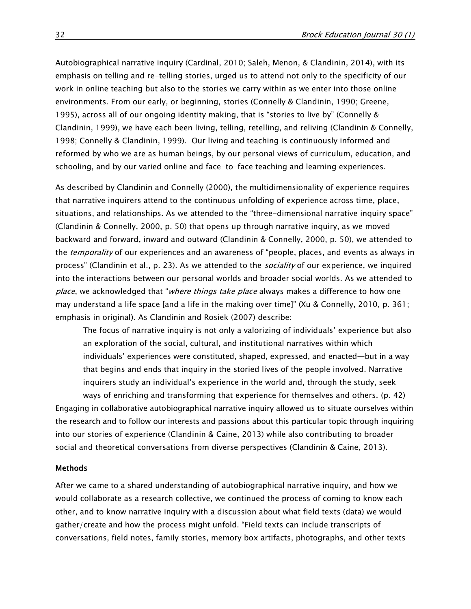Autobiographical narrative inquiry (Cardinal, 2010; Saleh, Menon, & Clandinin, 2014), with its emphasis on telling and re-telling stories, urged us to attend not only to the specificity of our work in online teaching but also to the stories we carry within as we enter into those online environments. From our early, or beginning, stories (Connelly & Clandinin, 1990; Greene, 1995), across all of our ongoing identity making, that is "stories to live by" (Connelly & Clandinin, 1999), we have each been living, telling, retelling, and reliving (Clandinin & Connelly, 1998; Connelly & Clandinin, 1999). Our living and teaching is continuously informed and reformed by who we are as human beings, by our personal views of curriculum, education, and schooling, and by our varied online and face-to-face teaching and learning experiences.

As described by Clandinin and Connelly (2000), the multidimensionality of experience requires that narrative inquirers attend to the continuous unfolding of experience across time, place, situations, and relationships. As we attended to the "three-dimensional narrative inquiry space" (Clandinin & Connelly, 2000, p. 50) that opens up through narrative inquiry, as we moved backward and forward, inward and outward (Clandinin & Connelly, 2000, p. 50), we attended to the *temporality* of our experiences and an awareness of "people, places, and events as always in process" (Clandinin et al., p. 23). As we attended to the *sociality* of our experience, we inquired into the interactions between our personal worlds and broader social worlds. As we attended to place, we acknowledged that "where things take place always makes a difference to how one may understand a life space [and a life in the making over time]" (Xu & Connelly, 2010, p. 361; emphasis in original). As Clandinin and Rosiek (2007) describe:

The focus of narrative inquiry is not only a valorizing of individuals' experience but also an exploration of the social, cultural, and institutional narratives within which individuals' experiences were constituted, shaped, expressed, and enacted—but in a way that begins and ends that inquiry in the storied lives of the people involved. Narrative inquirers study an individual's experience in the world and, through the study, seek

ways of enriching and transforming that experience for themselves and others. (p. 42) Engaging in collaborative autobiographical narrative inquiry allowed us to situate ourselves within the research and to follow our interests and passions about this particular topic through inquiring into our stories of experience (Clandinin & Caine, 2013) while also contributing to broader social and theoretical conversations from diverse perspectives (Clandinin & Caine, 2013).

#### Methods

After we came to a shared understanding of autobiographical narrative inquiry, and how we would collaborate as a research collective, we continued the process of coming to know each other, and to know narrative inquiry with a discussion about what field texts (data) we would gather/create and how the process might unfold. "Field texts can include transcripts of conversations, field notes, family stories, memory box artifacts, photographs, and other texts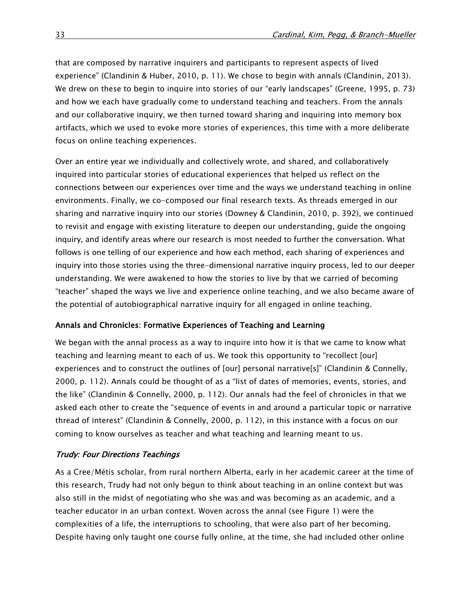that are composed by narrative inquirers and participants to represent aspects of lived experience" (Clandinin & Huber, 2010, p. 11). We chose to begin with annals (Clandinin, 2013). We drew on these to begin to inquire into stories of our "early landscapes" (Greene, 1995, p. 73) and how we each have gradually come to understand teaching and teachers. From the annals and our collaborative inquiry, we then turned toward sharing and inquiring into memory box artifacts, which we used to evoke more stories of experiences, this time with a more deliberate focus on online teaching experiences.

Over an entire year we individually and collectively wrote, and shared, and collaboratively inquired into particular stories of educational experiences that helped us reflect on the connections between our experiences over time and the ways we understand teaching in online environments. Finally, we co-composed our final research texts. As threads emerged in our sharing and narrative inquiry into our stories (Downey & Clandinin, 2010, p. 392), we continued to revisit and engage with existing literature to deepen our understanding, guide the ongoing inquiry, and identify areas where our research is most needed to further the conversation. What follows is one telling of our experience and how each method, each sharing of experiences and inquiry into those stories using the three-dimensional narrative inquiry process, led to our deeper understanding. We were awakened to how the stories to live by that we carried of becoming "teacher" shaped the ways we live and experience online teaching, and we also became aware of the potential of autobiographical narrative inquiry for all engaged in online teaching.

#### Annals and Chronicles: Formative Experiences of Teaching and Learning

We began with the annal process as a way to inquire into how it is that we came to know what teaching and learning meant to each of us. We took this opportunity to "recollect [our] experiences and to construct the outlines of [our] personal narrative[s]" (Clandinin & Connelly, 2000, p. 112). Annals could be thought of as a "list of dates of memories, events, stories, and the like" (Clandinin & Connelly, 2000, p. 112). Our annals had the feel of chronicles in that we asked each other to create the "sequence of events in and around a particular topic or narrative thread of interest" (Clandinin & Connelly, 2000, p. 112), in this instance with a focus on our coming to know ourselves as teacher and what teaching and learning meant to us.

#### Trudy: Four Directions Teachings

As a Cree/Métis scholar, from rural northern Alberta, early in her academic career at the time of this research, Trudy had not only begun to think about teaching in an online context but was also still in the midst of negotiating who she was and was becoming as an academic, and a teacher educator in an urban context. Woven across the annal (see Figure 1) were the complexities of a life, the interruptions to schooling, that were also part of her becoming. Despite having only taught one course fully online, at the time, she had included other online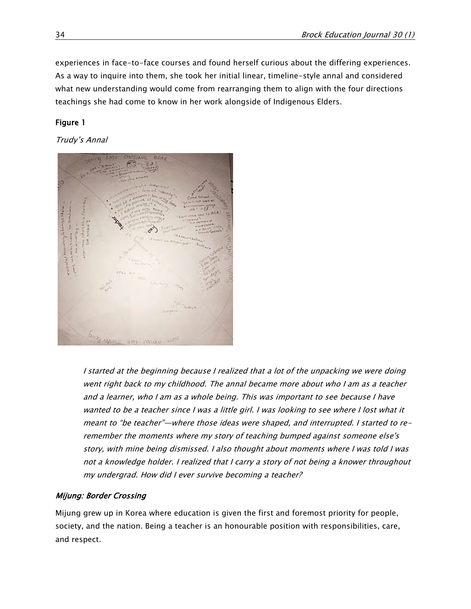experiences in face-to-face courses and found herself curious about the differing experiences. As a way to inquire into them, she took her initial linear, timeline-style annal and considered what new understanding would come from rearranging them to align with the four directions teachings she had come to know in her work alongside of Indigenous Elders.

#### Figure 1

#### Trudy's Annal



I started at the beginning because I realized that a lot of the unpacking we were doing went right back to my childhood. The annal became more about who I am as a teacher and a learner, who I am as a whole being. This was important to see because I have wanted to be a teacher since I was a little girl. I was looking to see where I lost what it meant to "be teacher"—where those ideas were shaped, and interrupted. I started to reremember the moments where my story of teaching bumped against someone else's story, with mine being dismissed. I also thought about moments where I was told I was not a knowledge holder. I realized that I carry a story of not being a knower throughout my undergrad. How did I ever survive becoming a teacher?

#### Mijung: Border Crossing

Mijung grew up in Korea where education is given the first and foremost priority for people, society, and the nation. Being a teacher is an honourable position with responsibilities, care, and respect.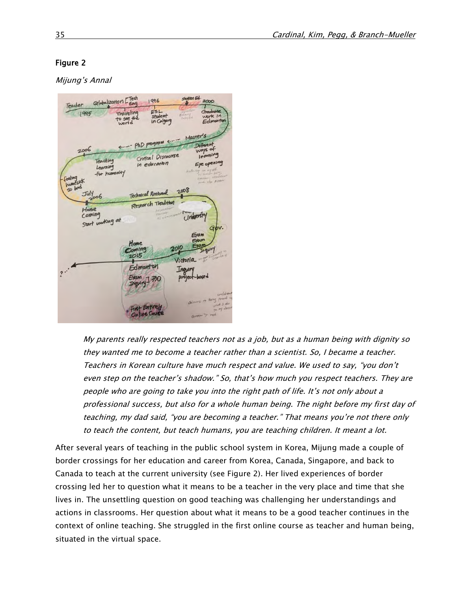#### Figure 2

Mijung's Annal



My parents really respected teachers not as a job, but as a human being with dignity so they wanted me to become a teacher rather than a scientist. So, I became a teacher. Teachers in Korean culture have much respect and value. We used to say, "you don't even step on the teacher's shadow." So, that's how much you respect teachers. They are people who are going to take you into the right path of life. It's not only about a professional success, but also for a whole human being. The night before my first day of teaching, my dad said, "you are becoming a teacher." That means you're not there only to teach the content, but teach humans, you are teaching children. It meant a lot.

After several years of teaching in the public school system in Korea, Mijung made a couple of border crossings for her education and career from Korea, Canada, Singapore, and back to Canada to teach at the current university (see Figure 2). Her lived experiences of border crossing led her to question what it means to be a teacher in the very place and time that she lives in. The unsettling question on good teaching was challenging her understandings and actions in classrooms. Her question about what it means to be a good teacher continues in the context of online teaching. She struggled in the first online course as teacher and human being, situated in the virtual space.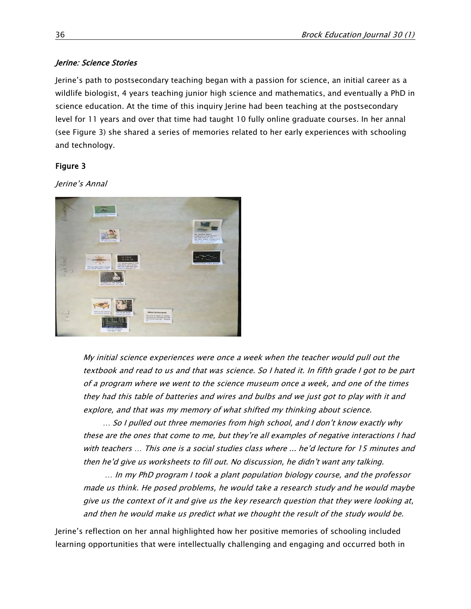#### Jerine: Science Stories

Jerine's path to postsecondary teaching began with a passion for science, an initial career as a wildlife biologist, 4 years teaching junior high science and mathematics, and eventually a PhD in science education. At the time of this inquiry Jerine had been teaching at the postsecondary level for 11 years and over that time had taught 10 fully online graduate courses. In her annal (see Figure 3) she shared a series of memories related to her early experiences with schooling and technology.

#### Figure 3

Jerine's Annal



My initial science experiences were once a week when the teacher would pull out the textbook and read to us and that was science. So I hated it. In fifth grade I got to be part of a program where we went to the science museum once a week, and one of the times they had this table of batteries and wires and bulbs and we just got to play with it and explore, and that was my memory of what shifted my thinking about science.

… So I pulled out three memories from high school, and I don't know exactly why these are the ones that come to me, but they're all examples of negative interactions I had with teachers … This one is a social studies class where ... he'd lecture for 15 minutes and then he'd give us worksheets to fill out. No discussion, he didn't want any talking.

… In my PhD program I took a plant population biology course, and the professor made us think. He posed problems, he would take a research study and he would maybe give us the context of it and give us the key research question that they were looking at, and then he would make us predict what we thought the result of the study would be.

Jerine's reflection on her annal highlighted how her positive memories of schooling included learning opportunities that were intellectually challenging and engaging and occurred both in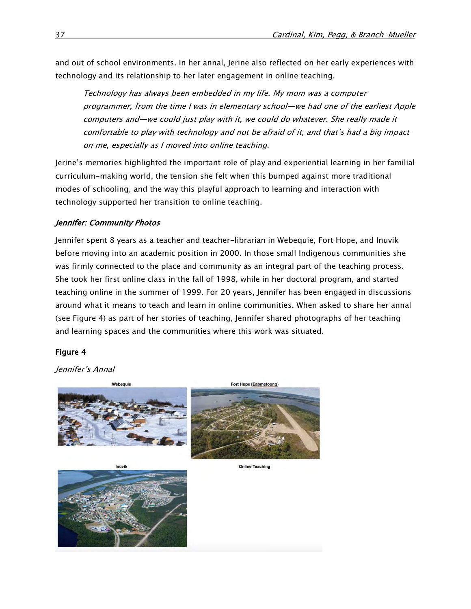and out of school environments. In her annal, Jerine also reflected on her early experiences with technology and its relationship to her later engagement in online teaching.

Technology has always been embedded in my life. My mom was a computer programmer, from the time I was in elementary school—we had one of the earliest Apple computers and—we could just play with it, we could do whatever. She really made it comfortable to play with technology and not be afraid of it, and that's had a big impact on me, especially as I moved into online teaching.

Jerine's memories highlighted the important role of play and experiential learning in her familial curriculum-making world, the tension she felt when this bumped against more traditional modes of schooling, and the way this playful approach to learning and interaction with technology supported her transition to online teaching.

#### Jennifer: Community Photos

Jennifer spent 8 years as a teacher and teacher-librarian in Webequie, Fort Hope, and Inuvik before moving into an academic position in 2000. In those small Indigenous communities she was firmly connected to the place and community as an integral part of the teaching process. She took her first online class in the fall of 1998, while in her doctoral program, and started teaching online in the summer of 1999. For 20 years, Jennifer has been engaged in discussions around what it means to teach and learn in online communities. When asked to share her annal (see Figure 4) as part of her stories of teaching, Jennifer shared photographs of her teaching and learning spaces and the communities where this work was situated.

#### Figure 4

Jennifer's Annal

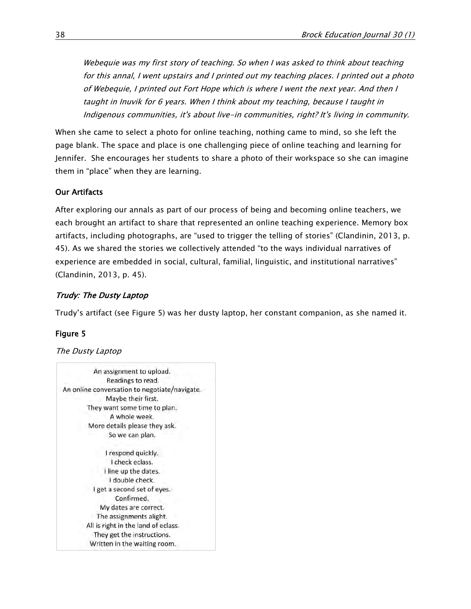Webequie was my first story of teaching. So when I was asked to think about teaching for this annal, I went upstairs and I printed out my teaching places. I printed out a photo of Webequie, I printed out Fort Hope which is where I went the next year. And then I taught in Inuvik for 6 years. When I think about my teaching, because I taught in Indigenous communities, it's about live-in communities, right? It's living in community.

When she came to select a photo for online teaching, nothing came to mind, so she left the page blank. The space and place is one challenging piece of online teaching and learning for Jennifer. She encourages her students to share a photo of their workspace so she can imagine them in "place" when they are learning.

#### Our Artifacts

After exploring our annals as part of our process of being and becoming online teachers, we each brought an artifact to share that represented an online teaching experience. Memory box artifacts, including photographs, are "used to trigger the telling of stories" (Clandinin, 2013, p. 45). As we shared the stories we collectively attended "to the ways individual narratives of experience are embedded in social, cultural, familial, linguistic, and institutional narratives" (Clandinin, 2013, p. 45).

#### Trudy: The Dusty Laptop

Trudy's artifact (see Figure 5) was her dusty laptop, her constant companion, as she named it.

#### Figure 5

#### The Dusty Laptop

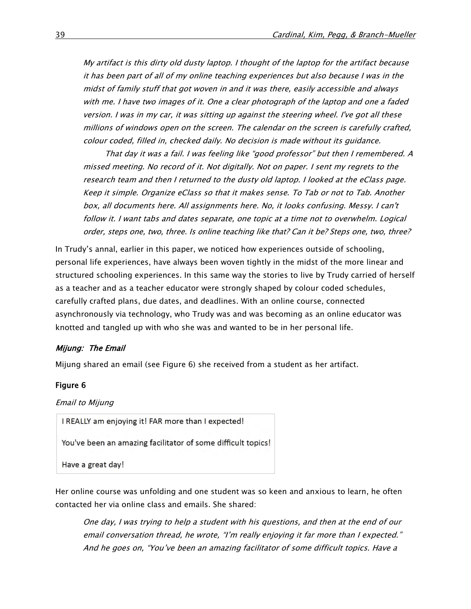My artifact is this dirty old dusty laptop. I thought of the laptop for the artifact because it has been part of all of my online teaching experiences but also because I was in the midst of family stuff that got woven in and it was there, easily accessible and always with me. I have two images of it. One a clear photograph of the laptop and one a faded version. I was in my car, it was sitting up against the steering wheel. I've got all these millions of windows open on the screen. The calendar on the screen is carefully crafted, colour coded, filled in, checked daily. No decision is made without its guidance.

That day it was a fail. I was feeling like "good professor" but then I remembered. A missed meeting. No record of it. Not digitally. Not on paper. I sent my regrets to the research team and then I returned to the dusty old laptop. I looked at the eClass page. Keep it simple. Organize eClass so that it makes sense. To Tab or not to Tab. Another box, all documents here. All assignments here. No, it looks confusing. Messy. I can't follow it. I want tabs and dates separate, one topic at a time not to overwhelm. Logical order, steps one, two, three. Is online teaching like that? Can it be? Steps one, two, three?

In Trudy's annal, earlier in this paper, we noticed how experiences outside of schooling, personal life experiences, have always been woven tightly in the midst of the more linear and structured schooling experiences. In this same way the stories to live by Trudy carried of herself as a teacher and as a teacher educator were strongly shaped by colour coded schedules, carefully crafted plans, due dates, and deadlines. With an online course, connected asynchronously via technology, who Trudy was and was becoming as an online educator was knotted and tangled up with who she was and wanted to be in her personal life.

#### Mijung: The Email

Mijung shared an email (see Figure 6) she received from a student as her artifact.

#### Figure 6

Email to Mijung

I REALLY am enjoying it! FAR more than I expected!

You've been an amazing facilitator of some difficult topics!

Have a great day!

Her online course was unfolding and one student was so keen and anxious to learn, he often contacted her via online class and emails. She shared:

One day, I was trying to help a student with his questions, and then at the end of our email conversation thread, he wrote, "I'm really enjoying it far more than I expected." And he goes on, "You've been an amazing facilitator of some difficult topics. Have a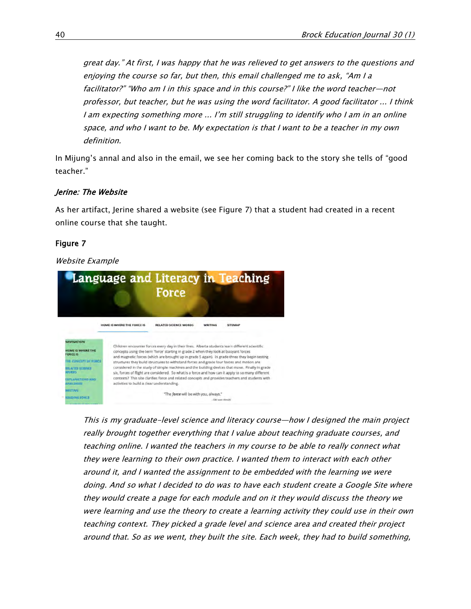great day." At first, I was happy that he was relieved to get answers to the questions and enjoying the course so far, but then, this email challenged me to ask, "Am I a facilitator?" "Who am I in this space and in this course?" I like the word teacher—not professor, but teacher, but he was using the word facilitator. A good facilitator ... I think I am expecting something more ... I'm still struggling to identify who I am in an online space, and who I want to be. My expectation is that I want to be a teacher in my own definition.

In Mijung's annal and also in the email, we see her coming back to the story she tells of "good teacher."

#### Jerine: The Website

As her artifact, Jerine shared a website (see Figure 7) that a student had created in a recent online course that she taught.

#### Figure 7

#### Website Example



This is my graduate-level science and literacy course—how I designed the main project really brought together everything that I value about teaching graduate courses, and teaching online. I wanted the teachers in my course to be able to really connect what they were learning to their own practice. I wanted them to interact with each other around it, and I wanted the assignment to be embedded with the learning we were doing. And so what I decided to do was to have each student create a Google Site where they would create a page for each module and on it they would discuss the theory we were learning and use the theory to create a learning activity they could use in their own teaching context. They picked a grade level and science area and created their project around that. So as we went, they built the site. Each week, they had to build something,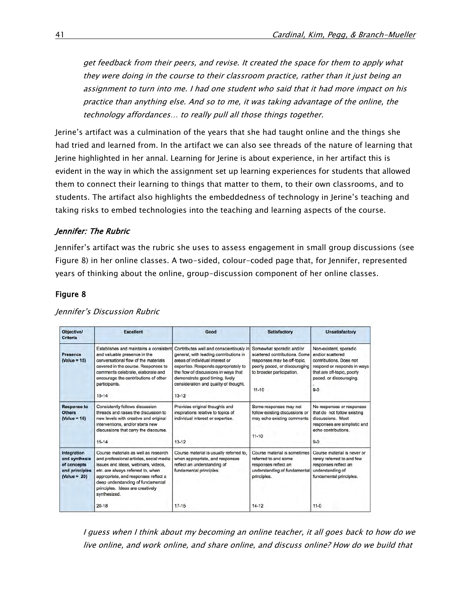get feedback from their peers, and revise. It created the space for them to apply what they were doing in the course to their classroom practice, rather than it just being an assignment to turn into me. I had one student who said that it had more impact on his practice than anything else. And so to me, it was taking advantage of the online, the technology affordances… to really pull all those things together.

Jerine's artifact was a culmination of the years that she had taught online and the things she had tried and learned from. In the artifact we can also see threads of the nature of learning that Jerine highlighted in her annal. Learning for Jerine is about experience, in her artifact this is evident in the way in which the assignment set up learning experiences for students that allowed them to connect their learning to things that matter to them, to their own classrooms, and to students. The artifact also highlights the embeddedness of technology in Jerine's teaching and taking risks to embed technologies into the teaching and learning aspects of the course.

#### Jennifer: The Rubric

Jennifer's artifact was the rubric she uses to assess engagement in small group discussions (see Figure 8) in her online classes. A two-sided, colour-coded page that, for Jennifer, represented years of thinking about the online, group-discussion component of her online classes.

#### Figure 8

| <b>Objective/</b><br><b>Criteria</b>                                            | <b>Excellent</b>                                                                                                                                                                                                                                                                             | Good                                                                                                                                                                                                                                                                                          | <b>Satisfactory</b>                                                                                                                                                 | Unsatisfactory                                                                                                                                                           |
|---------------------------------------------------------------------------------|----------------------------------------------------------------------------------------------------------------------------------------------------------------------------------------------------------------------------------------------------------------------------------------------|-----------------------------------------------------------------------------------------------------------------------------------------------------------------------------------------------------------------------------------------------------------------------------------------------|---------------------------------------------------------------------------------------------------------------------------------------------------------------------|--------------------------------------------------------------------------------------------------------------------------------------------------------------------------|
| Presence<br>$(Value = 15)$                                                      | Establishes and maintains a consistent<br>and valuable presence in the<br>conversational flow of the materials.<br>covered in the course. Responses to<br>comments celebrate, elaborate and<br>encourage the contributions of other<br>participants.<br>$15 - 14$                            | Contributes well and conscientiously in<br>general, with leading contributions in<br>areas of individual interest or<br>expertise. Responds appropriately to<br>the flow of discussions in ways that<br>demonstrate good timing, lively<br>consideration and quality of thought.<br>$13 - 12$ | Somewhat sporadic and/or<br>scattered contributions. Some<br>responses may be off-topic,<br>poorly paced, or discouraging<br>to broader participation.<br>$11 - 10$ | Non-existent, sporadic<br>and/or scattered<br>contributions. Does not<br>respond or responds in ways<br>that are off-topic, poorly<br>paced, or discouraging.<br>$9 - 0$ |
| <b>Response to</b><br><b>Others</b><br>$(Value = 15)$                           | Consistently follows discussion<br>threads and raises the discussion to<br>new levels with creative and original<br>interventions, and/or starts new<br>discussions that carry the discourse.<br>$15 - 14$                                                                                   | Provides original thoughts and<br>inspirations relative to topics of<br>individual interest or expertise.<br>$13 - 12$                                                                                                                                                                        | Some responses may not<br>follow existing discussions or<br>may echo existing comments<br>$11 - 10$                                                                 | No responses or responses<br>that do not follow existing<br>discussions. Most<br>responses are simplistic and<br>echo contributions.<br>$9 - 0$                          |
| Integration<br>and synthesis<br>of concepts<br>and principles<br>$(Value = 20)$ | Course materials as well as research<br>and professional articles, social media<br>issues and ideas, webinars, videos,<br>etc. are always referred to, when<br>appropriate, and responses reflect a<br>deep understanding of fundamental<br>principles. Ideas are creatively<br>synthesized. | Course material is usually referred to,<br>when appropriate, and responses<br>reflect an understanding of<br>fundamental principles.                                                                                                                                                          | Course material is sometimes<br>referred to and some<br>responses reflect an<br>understanding of fundamental<br>principles.                                         | Course material is never or<br>rarely referred to and few<br>responses reflect an<br>understanding of<br>fundamental principles.                                         |
|                                                                                 | $20 - 18$                                                                                                                                                                                                                                                                                    | $17-15$                                                                                                                                                                                                                                                                                       | $14 - 12$                                                                                                                                                           | $11 - 0$                                                                                                                                                                 |

Jennifer's Discussion Rubric

I guess when I think about my becoming an online teacher, it all goes back to how do we live online, and work online, and share online, and discuss online? How do we build that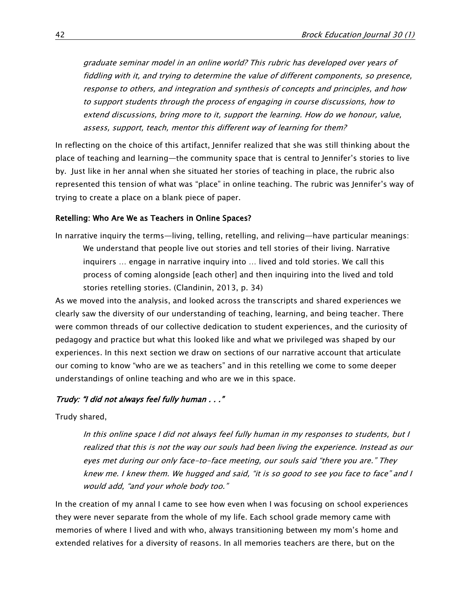graduate seminar model in an online world? This rubric has developed over years of fiddling with it, and trying to determine the value of different components, so presence, response to others, and integration and synthesis of concepts and principles, and how to support students through the process of engaging in course discussions, how to extend discussions, bring more to it, support the learning. How do we honour, value, assess, support, teach, mentor this different way of learning for them?

In reflecting on the choice of this artifact, Jennifer realized that she was still thinking about the place of teaching and learning—the community space that is central to Jennifer's stories to live by. Just like in her annal when she situated her stories of teaching in place, the rubric also represented this tension of what was "place" in online teaching. The rubric was Jennifer's way of trying to create a place on a blank piece of paper.

#### Retelling: Who Are We as Teachers in Online Spaces?

In narrative inquiry the terms—living, telling, retelling, and reliving—have particular meanings: We understand that people live out stories and tell stories of their living. Narrative inquirers … engage in narrative inquiry into … lived and told stories. We call this process of coming alongside [each other] and then inquiring into the lived and told stories retelling stories. (Clandinin, 2013, p. 34)

As we moved into the analysis, and looked across the transcripts and shared experiences we clearly saw the diversity of our understanding of teaching, learning, and being teacher. There were common threads of our collective dedication to student experiences, and the curiosity of pedagogy and practice but what this looked like and what we privileged was shaped by our experiences. In this next section we draw on sections of our narrative account that articulate our coming to know "who are we as teachers" and in this retelling we come to some deeper understandings of online teaching and who are we in this space.

#### Trudy: "I did not always feel fully human . . ."

Trudy shared,

In this online space I did not always feel fully human in my responses to students, but I realized that this is not the way our souls had been living the experience. Instead as our eyes met during our only face-to-face meeting, our souls said "there you are." They knew me. I knew them. We hugged and said, "it is so good to see you face to face" and I would add, "and your whole body too."

In the creation of my annal I came to see how even when I was focusing on school experiences they were never separate from the whole of my life. Each school grade memory came with memories of where I lived and with who, always transitioning between my mom's home and extended relatives for a diversity of reasons. In all memories teachers are there, but on the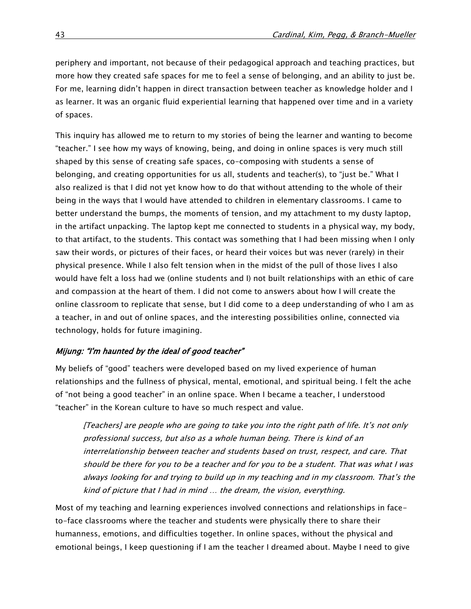periphery and important, not because of their pedagogical approach and teaching practices, but more how they created safe spaces for me to feel a sense of belonging, and an ability to just be. For me, learning didn't happen in direct transaction between teacher as knowledge holder and I as learner. It was an organic fluid experiential learning that happened over time and in a variety of spaces.

This inquiry has allowed me to return to my stories of being the learner and wanting to become "teacher." I see how my ways of knowing, being, and doing in online spaces is very much still shaped by this sense of creating safe spaces, co-composing with students a sense of belonging, and creating opportunities for us all, students and teacher(s), to "just be." What I also realized is that I did not yet know how to do that without attending to the whole of their being in the ways that I would have attended to children in elementary classrooms. I came to better understand the bumps, the moments of tension, and my attachment to my dusty laptop, in the artifact unpacking. The laptop kept me connected to students in a physical way, my body, to that artifact, to the students. This contact was something that I had been missing when I only saw their words, or pictures of their faces, or heard their voices but was never (rarely) in their physical presence. While I also felt tension when in the midst of the pull of those lives I also would have felt a loss had we (online students and I) not built relationships with an ethic of care and compassion at the heart of them. I did not come to answers about how I will create the online classroom to replicate that sense, but I did come to a deep understanding of who I am as a teacher, in and out of online spaces, and the interesting possibilities online, connected via technology, holds for future imagining.

#### Mijung: "I'm haunted by the ideal of good teacher"

My beliefs of "good" teachers were developed based on my lived experience of human relationships and the fullness of physical, mental, emotional, and spiritual being. I felt the ache of "not being a good teacher" in an online space. When I became a teacher, I understood "teacher" in the Korean culture to have so much respect and value.

[Teachers] are people who are going to take you into the right path of life. It's not only professional success, but also as a whole human being. There is kind of an interrelationship between teacher and students based on trust, respect, and care. That should be there for you to be a teacher and for you to be a student. That was what I was always looking for and trying to build up in my teaching and in my classroom. That's the kind of picture that I had in mind … the dream, the vision, everything.

Most of my teaching and learning experiences involved connections and relationships in faceto-face classrooms where the teacher and students were physically there to share their humanness, emotions, and difficulties together. In online spaces, without the physical and emotional beings, I keep questioning if I am the teacher I dreamed about. Maybe I need to give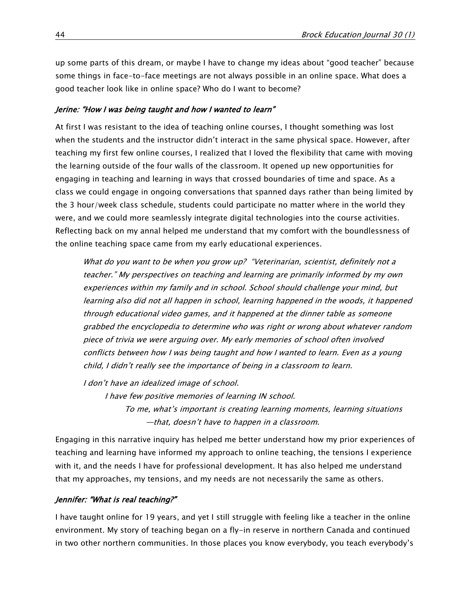up some parts of this dream, or maybe I have to change my ideas about "good teacher" because some things in face-to-face meetings are not always possible in an online space. What does a good teacher look like in online space? Who do I want to become?

#### Jerine: "How I was being taught and how I wanted to learn"

At first I was resistant to the idea of teaching online courses, I thought something was lost when the students and the instructor didn't interact in the same physical space. However, after teaching my first few online courses, I realized that I loved the flexibility that came with moving the learning outside of the four walls of the classroom. It opened up new opportunities for engaging in teaching and learning in ways that crossed boundaries of time and space. As a class we could engage in ongoing conversations that spanned days rather than being limited by the 3 hour/week class schedule, students could participate no matter where in the world they were, and we could more seamlessly integrate digital technologies into the course activities. Reflecting back on my annal helped me understand that my comfort with the boundlessness of the online teaching space came from my early educational experiences.

What do you want to be when you grow up? "Veterinarian, scientist, definitely not a teacher." My perspectives on teaching and learning are primarily informed by my own experiences within my family and in school. School should challenge your mind, but learning also did not all happen in school, learning happened in the woods, it happened through educational video games, and it happened at the dinner table as someone grabbed the encyclopedia to determine who was right or wrong about whatever random piece of trivia we were arguing over. My early memories of school often involved conflicts between how I was being taught and how I wanted to learn. Even as a young child, I didn't really see the importance of being in a classroom to learn.

I don't have an idealized image of school.

I have few positive memories of learning IN school. To me, what's important is creating learning moments, learning situations —that, doesn't have to happen in a classroom.

Engaging in this narrative inquiry has helped me better understand how my prior experiences of teaching and learning have informed my approach to online teaching, the tensions I experience with it, and the needs I have for professional development. It has also helped me understand that my approaches, my tensions, and my needs are not necessarily the same as others.

#### Jennifer: "What is real teaching?"

I have taught online for 19 years, and yet I still struggle with feeling like a teacher in the online environment. My story of teaching began on a fly-in reserve in northern Canada and continued in two other northern communities. In those places you know everybody, you teach everybody's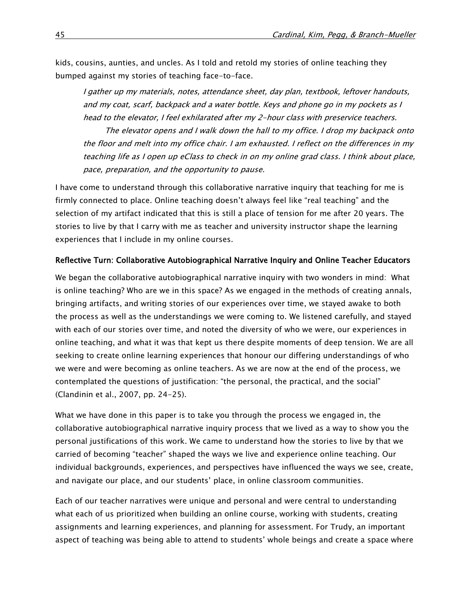kids, cousins, aunties, and uncles. As I told and retold my stories of online teaching they bumped against my stories of teaching face-to-face.

I gather up my materials, notes, attendance sheet, day plan, textbook, leftover handouts, and my coat, scarf, backpack and a water bottle. Keys and phone go in my pockets as I head to the elevator, I feel exhilarated after my 2-hour class with preservice teachers.

The elevator opens and I walk down the hall to my office. I drop my backpack onto the floor and melt into my office chair. I am exhausted. I reflect on the differences in my teaching life as I open up eClass to check in on my online grad class. I think about place, pace, preparation, and the opportunity to pause.

I have come to understand through this collaborative narrative inquiry that teaching for me is firmly connected to place. Online teaching doesn't always feel like "real teaching" and the selection of my artifact indicated that this is still a place of tension for me after 20 years. The stories to live by that I carry with me as teacher and university instructor shape the learning experiences that I include in my online courses.

#### Reflective Turn: Collaborative Autobiographical Narrative Inquiry and Online Teacher Educators

We began the collaborative autobiographical narrative inquiry with two wonders in mind: What is online teaching? Who are we in this space? As we engaged in the methods of creating annals, bringing artifacts, and writing stories of our experiences over time, we stayed awake to both the process as well as the understandings we were coming to. We listened carefully, and stayed with each of our stories over time, and noted the diversity of who we were, our experiences in online teaching, and what it was that kept us there despite moments of deep tension. We are all seeking to create online learning experiences that honour our differing understandings of who we were and were becoming as online teachers. As we are now at the end of the process, we contemplated the questions of justification: "the personal, the practical, and the social" (Clandinin et al., 2007, pp. 24-25).

What we have done in this paper is to take you through the process we engaged in, the collaborative autobiographical narrative inquiry process that we lived as a way to show you the personal justifications of this work. We came to understand how the stories to live by that we carried of becoming "teacher" shaped the ways we live and experience online teaching. Our individual backgrounds, experiences, and perspectives have influenced the ways we see, create, and navigate our place, and our students' place, in online classroom communities.

Each of our teacher narratives were unique and personal and were central to understanding what each of us prioritized when building an online course, working with students, creating assignments and learning experiences, and planning for assessment. For Trudy, an important aspect of teaching was being able to attend to students' whole beings and create a space where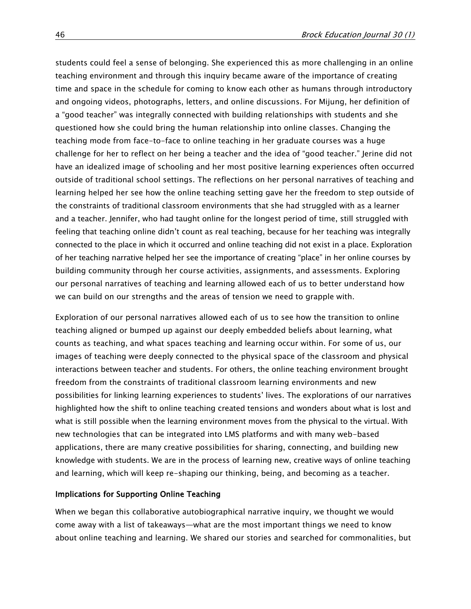students could feel a sense of belonging. She experienced this as more challenging in an online teaching environment and through this inquiry became aware of the importance of creating time and space in the schedule for coming to know each other as humans through introductory and ongoing videos, photographs, letters, and online discussions. For Mijung, her definition of a "good teacher" was integrally connected with building relationships with students and she questioned how she could bring the human relationship into online classes. Changing the teaching mode from face-to-face to online teaching in her graduate courses was a huge challenge for her to reflect on her being a teacher and the idea of "good teacher." Jerine did not have an idealized image of schooling and her most positive learning experiences often occurred outside of traditional school settings. The reflections on her personal narratives of teaching and learning helped her see how the online teaching setting gave her the freedom to step outside of the constraints of traditional classroom environments that she had struggled with as a learner and a teacher. Jennifer, who had taught online for the longest period of time, still struggled with feeling that teaching online didn't count as real teaching, because for her teaching was integrally connected to the place in which it occurred and online teaching did not exist in a place. Exploration of her teaching narrative helped her see the importance of creating "place" in her online courses by building community through her course activities, assignments, and assessments. Exploring our personal narratives of teaching and learning allowed each of us to better understand how we can build on our strengths and the areas of tension we need to grapple with.

Exploration of our personal narratives allowed each of us to see how the transition to online teaching aligned or bumped up against our deeply embedded beliefs about learning, what counts as teaching, and what spaces teaching and learning occur within. For some of us, our images of teaching were deeply connected to the physical space of the classroom and physical interactions between teacher and students. For others, the online teaching environment brought freedom from the constraints of traditional classroom learning environments and new possibilities for linking learning experiences to students' lives. The explorations of our narratives highlighted how the shift to online teaching created tensions and wonders about what is lost and what is still possible when the learning environment moves from the physical to the virtual. With new technologies that can be integrated into LMS platforms and with many web-based applications, there are many creative possibilities for sharing, connecting, and building new knowledge with students. We are in the process of learning new, creative ways of online teaching and learning, which will keep re-shaping our thinking, being, and becoming as a teacher.

#### Implications for Supporting Online Teaching

When we began this collaborative autobiographical narrative inquiry, we thought we would come away with a list of takeaways—what are the most important things we need to know about online teaching and learning. We shared our stories and searched for commonalities, but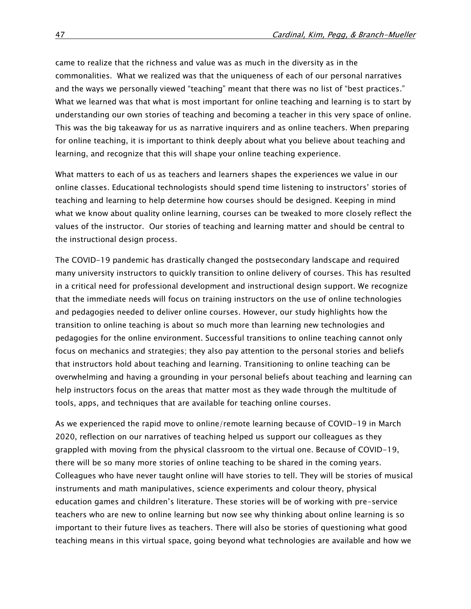came to realize that the richness and value was as much in the diversity as in the commonalities. What we realized was that the uniqueness of each of our personal narratives and the ways we personally viewed "teaching" meant that there was no list of "best practices." What we learned was that what is most important for online teaching and learning is to start by understanding our own stories of teaching and becoming a teacher in this very space of online. This was the big takeaway for us as narrative inquirers and as online teachers. When preparing for online teaching, it is important to think deeply about what you believe about teaching and learning, and recognize that this will shape your online teaching experience.

What matters to each of us as teachers and learners shapes the experiences we value in our online classes. Educational technologists should spend time listening to instructors' stories of teaching and learning to help determine how courses should be designed. Keeping in mind what we know about quality online learning, courses can be tweaked to more closely reflect the values of the instructor. Our stories of teaching and learning matter and should be central to the instructional design process.

The COVID-19 pandemic has drastically changed the postsecondary landscape and required many university instructors to quickly transition to online delivery of courses. This has resulted in a critical need for professional development and instructional design support. We recognize that the immediate needs will focus on training instructors on the use of online technologies and pedagogies needed to deliver online courses. However, our study highlights how the transition to online teaching is about so much more than learning new technologies and pedagogies for the online environment. Successful transitions to online teaching cannot only focus on mechanics and strategies; they also pay attention to the personal stories and beliefs that instructors hold about teaching and learning. Transitioning to online teaching can be overwhelming and having a grounding in your personal beliefs about teaching and learning can help instructors focus on the areas that matter most as they wade through the multitude of tools, apps, and techniques that are available for teaching online courses.

As we experienced the rapid move to online/remote learning because of COVID-19 in March 2020, reflection on our narratives of teaching helped us support our colleagues as they grappled with moving from the physical classroom to the virtual one. Because of COVID-19, there will be so many more stories of online teaching to be shared in the coming years. Colleagues who have never taught online will have stories to tell. They will be stories of musical instruments and math manipulatives, science experiments and colour theory, physical education games and children's literature. These stories will be of working with pre-service teachers who are new to online learning but now see why thinking about online learning is so important to their future lives as teachers. There will also be stories of questioning what good teaching means in this virtual space, going beyond what technologies are available and how we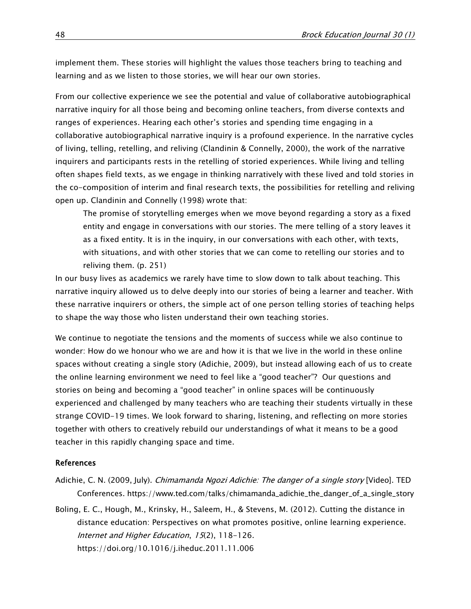implement them. These stories will highlight the values those teachers bring to teaching and learning and as we listen to those stories, we will hear our own stories.

From our collective experience we see the potential and value of collaborative autobiographical narrative inquiry for all those being and becoming online teachers, from diverse contexts and ranges of experiences. Hearing each other's stories and spending time engaging in a collaborative autobiographical narrative inquiry is a profound experience. In the narrative cycles of living, telling, retelling, and reliving (Clandinin & Connelly, 2000), the work of the narrative inquirers and participants rests in the retelling of storied experiences. While living and telling often shapes field texts, as we engage in thinking narratively with these lived and told stories in the co-composition of interim and final research texts, the possibilities for retelling and reliving open up. Clandinin and Connelly (1998) wrote that:

The promise of storytelling emerges when we move beyond regarding a story as a fixed entity and engage in conversations with our stories. The mere telling of a story leaves it as a fixed entity. It is in the inquiry, in our conversations with each other, with texts, with situations, and with other stories that we can come to retelling our stories and to reliving them. (p. 251)

In our busy lives as academics we rarely have time to slow down to talk about teaching. This narrative inquiry allowed us to delve deeply into our stories of being a learner and teacher. With these narrative inquirers or others, the simple act of one person telling stories of teaching helps to shape the way those who listen understand their own teaching stories.

We continue to negotiate the tensions and the moments of success while we also continue to wonder: How do we honour who we are and how it is that we live in the world in these online spaces without creating a single story (Adichie, 2009), but instead allowing each of us to create the online learning environment we need to feel like a "good teacher"? Our questions and stories on being and becoming a "good teacher" in online spaces will be continuously experienced and challenged by many teachers who are teaching their students virtually in these strange COVID-19 times. We look forward to sharing, listening, and reflecting on more stories together with others to creatively rebuild our understandings of what it means to be a good teacher in this rapidly changing space and time.

#### References

- Adichie, C. N. (2009, July). Chimamanda Ngozi Adichie: The danger of a single story [Video]. TED Conferences. [https://www.ted.com/talks/chimamanda\\_adichie\\_the\\_danger\\_of\\_a\\_single\\_story](https://www.ted.com/talks/chimamanda_adichie_the_danger_of_a_single_story)
- Boling, E. C., Hough, M., Krinsky, H., Saleem, H., & Stevens, M. (2012). Cutting the distance in distance education: Perspectives on what promotes positive, online learning experience. Internet and Higher Education, 15(2), 118-126. <https://doi.org/10.1016/j.iheduc.2011.11.006>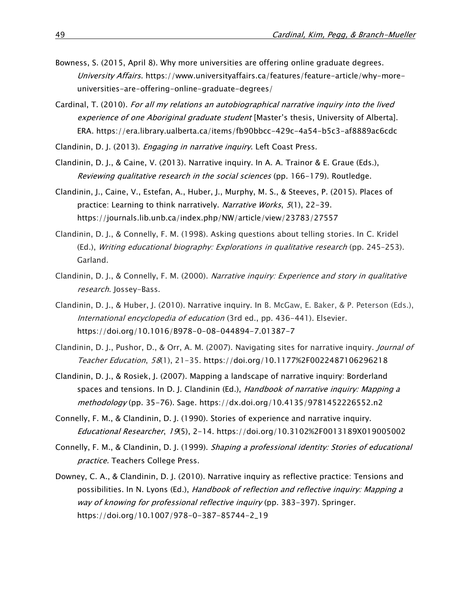- Bowness, S. (2015, April 8). Why more universities are offering online graduate degrees. University Affairs. [https://www.universityaffairs.ca/features/feature-article/why-more](https://www.universityaffairs.ca/features/feature-article/why-more-universities-are-offering-online-graduate-degrees/)[universities-are-offering-online-graduate-degrees/](https://www.universityaffairs.ca/features/feature-article/why-more-universities-are-offering-online-graduate-degrees/)
- Cardinal, T. (2010). For all my relations an autobiographical narrative inquiry into the lived experience of one Aboriginal graduate student [Master's thesis, University of Alberta]. ERA. <https://era.library.ualberta.ca/items/fb90bbcc-429c-4a54-b5c3-af8889ac6cdc>

Clandinin, D. J. (2013). Engaging in narrative inquiry. Left Coast Press.

- Clandinin, D. J., & Caine, V. (2013). Narrative inquiry. In A. A. Trainor & E. Graue (Eds.), Reviewing qualitative research in the social sciences (pp. 166-179). Routledge.
- Clandinin, J., Caine, V., Estefan, A., Huber, J., Murphy, M. S., & Steeves, P. (2015). Places of practice: Learning to think narratively. Narrative Works, 5(1), 22-39. <https://journals.lib.unb.ca/index.php/NW/article/view/23783/27557>
- Clandinin, D. J., & Connelly, F. M. (1998). Asking questions about telling stories. In C. Kridel (Ed.), Writing educational biography: Explorations in qualitative research (pp. 245–253). Garland.
- Clandinin, D. J., & Connelly, F. M. (2000). Narrative inquiry: Experience and story in qualitative research. Jossey-Bass.
- Clandinin, D. J., & Huber, J. (2010). Narrative inquiry. In B. McGaw, E. Baker, & P. Peterson (Eds.), International encyclopedia of education (3rd ed., pp. 436-441). Elsevier. <https://doi.org/10.1016/B978-0-08-044894-7.01387-7>
- Clandinin, D. J., Pushor, D., & Orr, A. M. (2007). Navigating sites for narrative inquiry. Journal of Teacher Education, 58(1), 21-35. <https://doi.org/10.1177%2F0022487106296218>
- Clandinin, D. J., & Rosiek, J. (2007). Mapping a landscape of narrative inquiry: Borderland spaces and tensions. In D. J. Clandinin (Ed.), Handbook of narrative inquiry: Mapping a methodology (pp. 35-76). Sage.<https://dx.doi.org/10.4135/9781452226552.n2>
- Connelly, F. M., & Clandinin, D. J. (1990). Stories of experience and narrative inquiry. Educational Researcher, 19(5), 2-14. <https://doi.org/10.3102%2F0013189X019005002>
- Connelly, F. M., & Clandinin, D. J. (1999). Shaping a professional identity: Stories of educational practice. Teachers College Press.
- Downey, C. A., & Clandinin, D. J. (2010). Narrative inquiry as reflective practice: Tensions and possibilities. In N. Lyons (Ed.), Handbook of reflection and reflective inquiry: Mapping a way of knowing for professional reflective inquiry (pp. 383-397). Springer. [https://doi.org/10.1007/978-0-387-85744-2\\_19](https://doi.org/10.1007/978-0-387-85744-2_19)